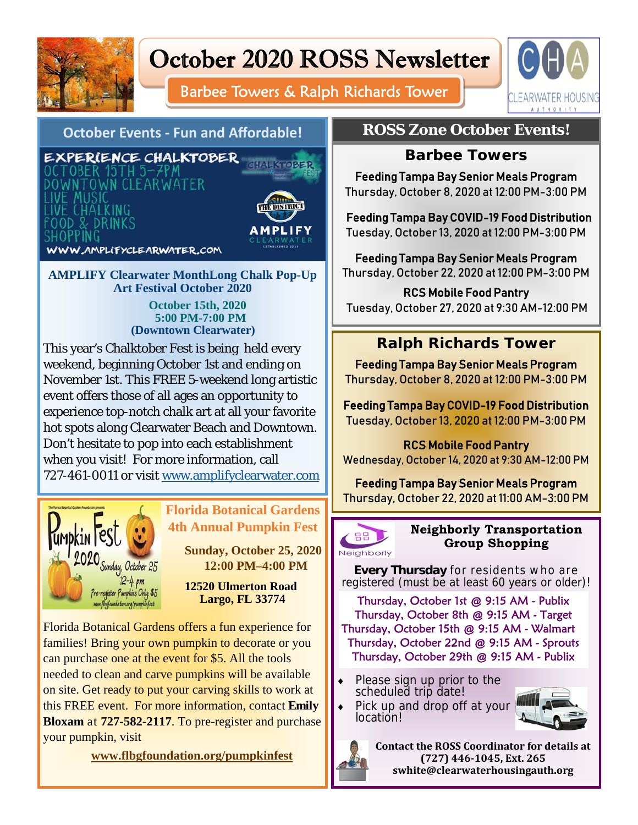

# October 2020 ROSS Newsletter

Barbee Towers & Ralph Richards Tower



## **October Events ‐ Fun and Affordable!**

EXPERIENCE CHALKTOBER )CTOBER 15TH 5-7PM DOWNTOWN CLEARWATER IVE MUSIC<br>IVE CHALKING **OOD & DRINKS** 



**CHALKTOBER** 

WWW.AMPLIFYCLEARWATER.COM

**AMPLIFY Clearwater MonthLong Chalk Pop-Up Art Festival October 2020**

 **October 15th, 2020 5:00 PM-7:00 PM (Downtown Clearwater)** 

This year's Chalktober Fest is being held every weekend, beginning October 1st and ending on November 1st. This FREE 5-weekend long artistic event offers those of all ages an opportunity to experience top-notch chalk art at all your favorite hot spots along Clearwater Beach and Downtown. Don't hesitate to pop into each establishment when you visit! For more information, call 727-461-0011 or visit www.amplifyclearwater.com



# **Florida Botanical Gardens 4th Annual Pumpkin Fest**

 **Sunday, October 25, 2020 12:00 PM–4:00 PM** 

 **12520 Ulmerton Road Largo, FL 33774** 

Florida Botanical Gardens offers a fun experience for families! Bring your own pumpkin to decorate or you can purchase one at the event for \$5. All the tools needed to clean and carve pumpkins will be available on site. Get ready to put your carving skills to work at this FREE event. For more information, contact **Emily Bloxam** at **727-582-2117**. To pre-register and purchase your pumpkin, visit

 **www.flbgfoundation.org/pumpkinfest** 

# **ROSS Zone October Events!**

## **Barbee Towers**

Feeding Tampa Bay Senior Meals Program Thursday, October 8, 2020 at 12:00 PM-3:00 PM

Feeding Tampa Bay COVID-19 Food Distribution Tuesday, October 13, 2020 at 12:00 PM-3:00 PM

Feeding Tampa Bay Senior Meals Program Thursday, October 22, 2020 at 12:00 PM-3:00 PM

RCS Mobile Food Pantry Tuesday, October 27, 2020 at 9:30 AM-12:00 PM

# **Ralph Richards Tower**

Feeding Tampa Bay Senior Meals Program Thursday, October 8, 2020 at 12:00 PM-3:00 PM

Feeding Tampa Bay COVID-19 Food Distribution Tuesday, October 13, 2020 at 12:00 PM-3:00 PM

## RCS Mobile Food Pantry

Wednesday, October 14, 2020 at 9:30 AM-12:00 PM

Feeding Tampa Bay Senior Meals Program Thursday, October 22, 2020 at 11:00 AM-3:00 PM



#### **Neighborly Transportation Group Shopping**

**Every Thursday** for residents who are registered (must be at least 60 years or older)!

**Inspirational Quote... Inspirational Quote...**  Thursday, October 15th @ 9:15 AM - Walmart Thursday, October 1st @ 9:15 AM - Publix Thursday, October 8th @ 9:15 AM - Target Thursday, October 22nd @ 9:15 AM - Sprouts Thursday, October 29th @ 9:15 AM - Publix

- **Please sign up prior to the** scheduled trip date!
- **function**<br>**•** Pick up and drop off at your *<u>Abraham Lincoln </u>* location!





**Contact the ROSS Coordinator for details at**   $(727)$  446-1045, Ext. 265 **swhite@clearwaterhousingauth.org**